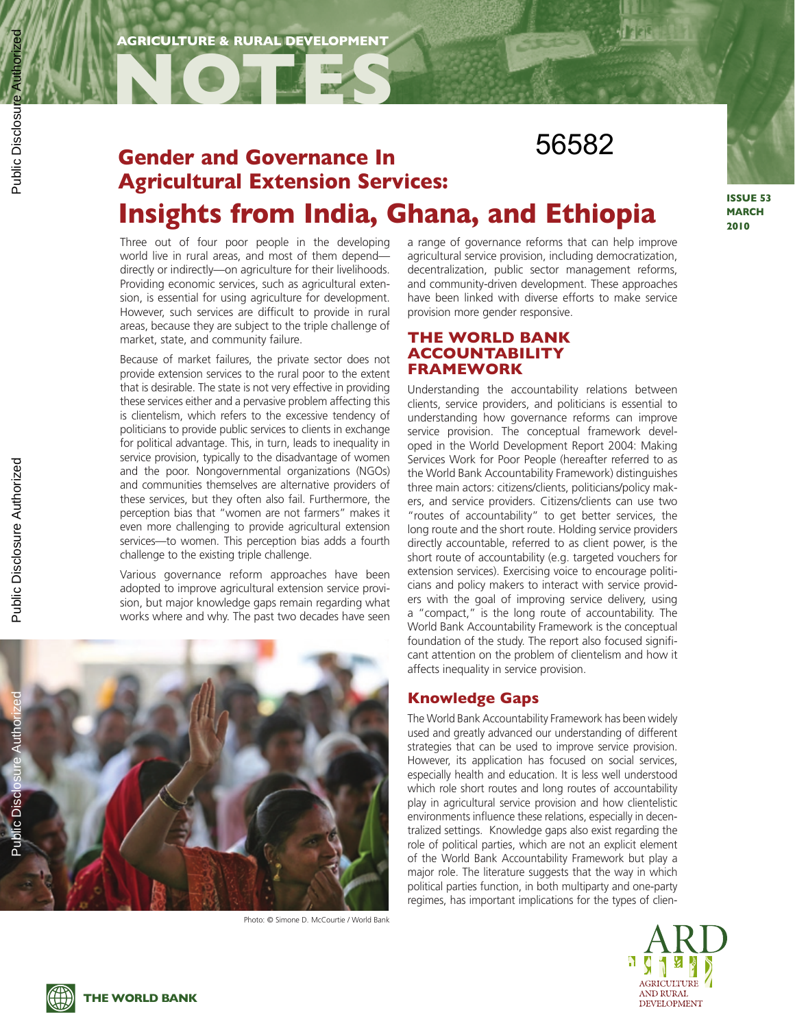**NOTES**

# **Gender and Governance In Agricultural Extension Services: Insights from India, Ghana, and Ethiopia** 56582

Three out of four poor people in the developing world live in rural areas, and most of them depend directly or indirectly—on agriculture for their livelihoods. Providing economic services, such as agricultural extension, is essential for using agriculture for development. However, such services are difficult to provide in rural areas, because they are subject to the triple challenge of market, state, and community failure.

Because of market failures, the private sector does not provide extension services to the rural poor to the extent that is desirable. The state is not very effective in providing these services either and a pervasive problem affecting this is clientelism, which refers to the excessive tendency of politicians to provide public services to clients in exchange for political advantage. This, in turn, leads to inequality in service provision, typically to the disadvantage of women and the poor. Nongovernmental organizations (NGOs) and communities themselves are alternative providers of these services, but they often also fail. Furthermore, the perception bias that "women are not farmers" makes it even more challenging to provide agricultural extension services—to women. This perception bias adds a fourth challenge to the existing triple challenge.

Various governance reform approaches have been adopted to improve agricultural extension service provision, but major knowledge gaps remain regarding what works where and why. The past two decades have seen a range of governance reforms that can help improve agricultural service provision, including democratization, decentralization, public sector management reforms, and community-driven development. These approaches have been linked with diverse efforts to make service provision more gender responsive.

## **The World Bank Accountability Framework**

Understanding the accountability relations between clients, service providers, and politicians is essential to understanding how governance reforms can improve service provision. The conceptual framework developed in the World Development Report 2004: Making Services Work for Poor People (hereafter referred to as the World Bank Accountability Framework) distinguishes three main actors: citizens/clients, politicians/policy makers, and service providers. Citizens/clients can use two "routes of accountability" to get better services, the long route and the short route. Holding service providers directly accountable, referred to as client power, is the short route of accountability (e.g. targeted vouchers for extension services). Exercising voice to encourage politicians and policy makers to interact with service providers with the goal of improving service delivery, using a "compact," is the long route of accountability. The World Bank Accountability Framework is the conceptual foundation of the study. The report also focused significant attention on the problem of clientelism and how it affects inequality in service provision.

## **Knowledge Gaps**

The World Bank Accountability Framework has been widely used and greatly advanced our understanding of different strategies that can be used to improve service provision. However, its application has focused on social services, especially health and education. It is less well understood which role short routes and long routes of accountability play in agricultural service provision and how clientelistic environments influence these relations, especially in decentralized settings. Knowledge gaps also exist regarding the role of political parties, which are not an explicit element of the World Bank Accountability Framework but play a major role. The literature suggests that the way in which political parties function, in both multiparty and one-party regimes, has important implications for the types of clien-



**ISSUE 53 MARCH 2010**



Photo: © Simone D. McCourtie / World Bank



**THE WORLD BANK**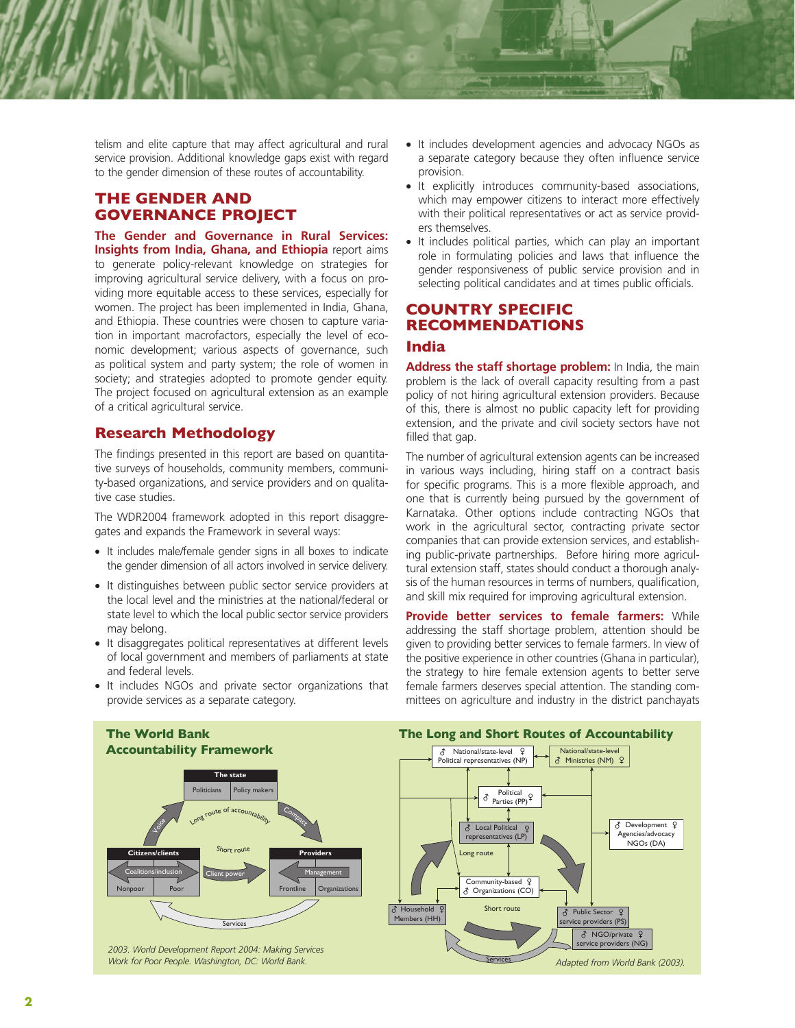telism and elite capture that may affect agricultural and rural service provision. Additional knowledge gaps exist with regard to the gender dimension of these routes of accountability.

## **The Gender and Governance Project**

**The Gender and Governance in Rural Services: Insights from India, Ghana, and Ethiopia** report aims to generate policy-relevant knowledge on strategies for improving agricultural service delivery, with a focus on providing more equitable access to these services, especially for women. The project has been implemented in India, Ghana, and Ethiopia. These countries were chosen to capture variation in important macrofactors, especially the level of economic development; various aspects of governance, such as political system and party system; the role of women in society; and strategies adopted to promote gender equity. The project focused on agricultural extension as an example of a critical agricultural service.

## **Research Methodology**

The findings presented in this report are based on quantitative surveys of households, community members, community-based organizations, and service providers and on qualitative case studies.

The WDR2004 framework adopted in this report disaggregates and expands the Framework in several ways:

- It includes male/female gender signs in all boxes to indicate the gender dimension of all actors involved in service delivery.
- It distinguishes between public sector service providers at the local level and the ministries at the national/federal or state level to which the local public sector service providers may belong.
- It disaggregates political representatives at different levels of local government and members of parliaments at state and federal levels.
- It includes NGOs and private sector organizations that provide services as a separate category.
- It includes development agencies and advocacy NGOs as a separate category because they often influence service provision.
- It explicitly introduces community-based associations, which may empower citizens to interact more effectively with their political representatives or act as service providers themselves.
- It includes political parties, which can play an important role in formulating policies and laws that influence the gender responsiveness of public service provision and in selecting political candidates and at times public officials.

## **Country Specific Recommendations India**

**Address the staff shortage problem:** In India, the main problem is the lack of overall capacity resulting from a past policy of not hiring agricultural extension providers. Because of this, there is almost no public capacity left for providing extension, and the private and civil society sectors have not filled that gap.

The number of agricultural extension agents can be increased in various ways including, hiring staff on a contract basis for specific programs. This is a more flexible approach, and one that is currently being pursued by the government of Karnataka. Other options include contracting NGOs that work in the agricultural sector, contracting private sector companies that can provide extension services, and establishing public-private partnerships. Before hiring more agricultural extension staff, states should conduct a thorough analysis of the human resources in terms of numbers, qualification, and skill mix required for improving agricultural extension.

**Provide better services to female farmers:** While addressing the staff shortage problem, attention should be given to providing better services to female farmers. In view of the positive experience in other countries (Ghana in particular), the strategy to hire female extension agents to better serve female farmers deserves special attention. The standing committees on agriculture and industry in the district panchayats

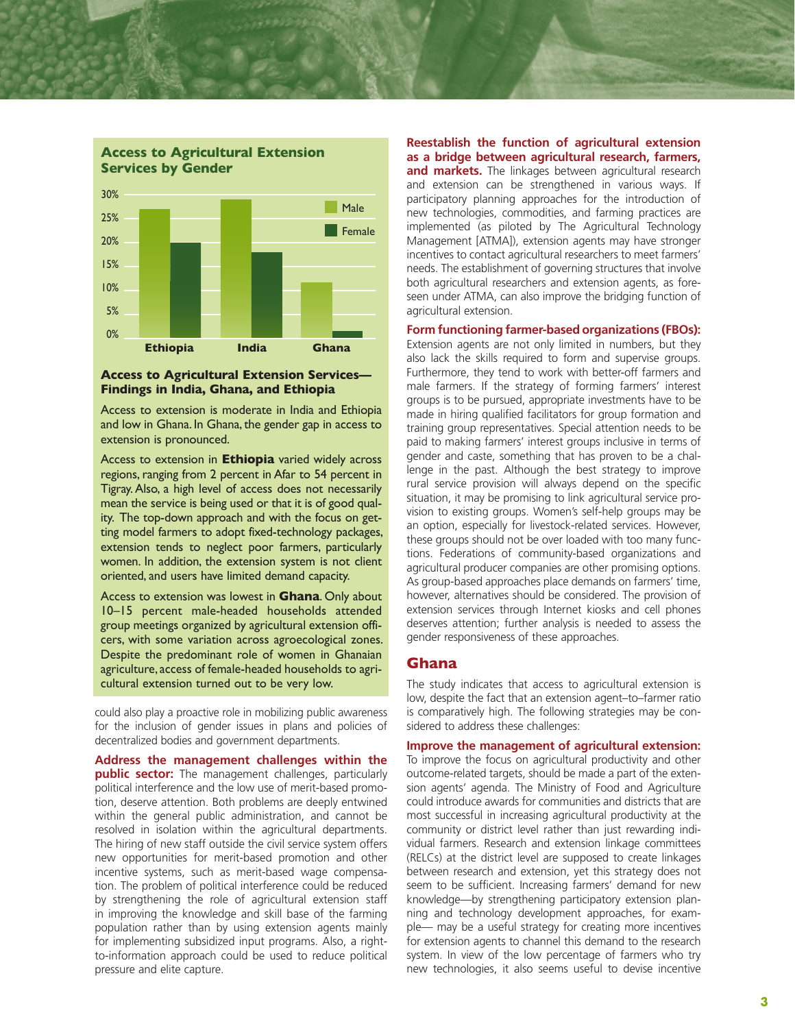

#### **Access to Agricultural Extension Services— Findings in India, Ghana, and Ethiopia**

Access to extension is moderate in India and Ethiopia and low in Ghana. In Ghana, the gender gap in access to extension is pronounced.

Access to extension in **Ethiopia** varied widely across regions, ranging from 2 percent in Afar to 54 percent in Tigray. Also, a high level of access does not necessarily mean the service is being used or that it is of good quality. The top-down approach and with the focus on getting model farmers to adopt fixed-technology packages, extension tends to neglect poor farmers, particularly women. In addition, the extension system is not client oriented, and users have limited demand capacity.

Access to extension was lowest in **Ghana**. Only about 10–15 percent male-headed households attended group meetings organized by agricultural extension officers, with some variation across agroecological zones. Despite the predominant role of women in Ghanaian agriculture, access of female-headed households to agricultural extension turned out to be very low.

could also play a proactive role in mobilizing public awareness for the inclusion of gender issues in plans and policies of decentralized bodies and government departments.

**Address the management challenges within the public sector:** The management challenges, particularly political interference and the low use of merit-based promotion, deserve attention. Both problems are deeply entwined within the general public administration, and cannot be resolved in isolation within the agricultural departments. The hiring of new staff outside the civil service system offers new opportunities for merit-based promotion and other incentive systems, such as merit-based wage compensation. The problem of political interference could be reduced by strengthening the role of agricultural extension staff in improving the knowledge and skill base of the farming population rather than by using extension agents mainly for implementing subsidized input programs. Also, a rightto-information approach could be used to reduce political pressure and elite capture.

**Reestablish the function of agricultural extension as a bridge between agricultural research, farmers,**  and markets. The linkages between agricultural research and extension can be strengthened in various ways. If participatory planning approaches for the introduction of new technologies, commodities, and farming practices are implemented (as piloted by The Agricultural Technology Management [ATMA]), extension agents may have stronger incentives to contact agricultural researchers to meet farmers' needs. The establishment of governing structures that involve both agricultural researchers and extension agents, as foreseen under ATMA, can also improve the bridging function of agricultural extension.

**Form functioning farmer-based organizations (FBOs):** 

Extension agents are not only limited in numbers, but they also lack the skills required to form and supervise groups. Furthermore, they tend to work with better-off farmers and male farmers. If the strategy of forming farmers' interest groups is to be pursued, appropriate investments have to be made in hiring qualified facilitators for group formation and training group representatives. Special attention needs to be paid to making farmers' interest groups inclusive in terms of gender and caste, something that has proven to be a challenge in the past. Although the best strategy to improve rural service provision will always depend on the specific situation, it may be promising to link agricultural service provision to existing groups. Women's self-help groups may be an option, especially for livestock-related services. However, these groups should not be over loaded with too many functions. Federations of community-based organizations and agricultural producer companies are other promising options. As group-based approaches place demands on farmers' time, however, alternatives should be considered. The provision of extension services through Internet kiosks and cell phones deserves attention; further analysis is needed to assess the gender responsiveness of these approaches.

### **Ghana**

The study indicates that access to agricultural extension is low, despite the fact that an extension agent–to–farmer ratio is comparatively high. The following strategies may be considered to address these challenges:

**Improve the management of agricultural extension:**  To improve the focus on agricultural productivity and other outcome-related targets, should be made a part of the extension agents' agenda. The Ministry of Food and Agriculture could introduce awards for communities and districts that are most successful in increasing agricultural productivity at the community or district level rather than just rewarding individual farmers. Research and extension linkage committees (RELCs) at the district level are supposed to create linkages between research and extension, yet this strategy does not seem to be sufficient. Increasing farmers' demand for new knowledge—by strengthening participatory extension planning and technology development approaches, for example— may be a useful strategy for creating more incentives for extension agents to channel this demand to the research system. In view of the low percentage of farmers who try new technologies, it also seems useful to devise incentive